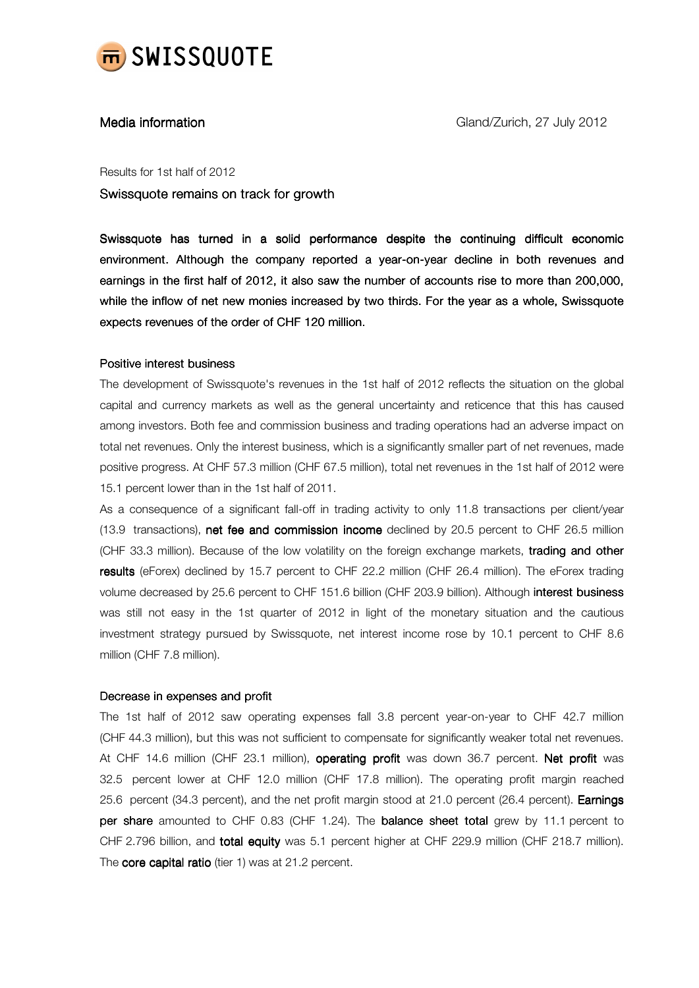

Results for 1st half of 2012

Swissquote remains on track for growth

Swissquote has turned in a solid performance despite the continuing difficult economic environment. Although the company reported a year-on-year decline in both revenues and earnings in the first half of 2012, it also saw the number of accounts rise to more than 200,000, while the inflow of net new monies increased by two thirds. For the year as a whole, Swissquote expects revenues of the order of CHF 120 million.

# Positive interest business

The development of Swissquote's revenues in the 1st half of 2012 reflects the situation on the global capital and currency markets as well as the general uncertainty and reticence that this has caused among investors. Both fee and commission business and trading operations had an adverse impact on total net revenues. Only the interest business, which is a significantly smaller part of net revenues, made positive progress. At CHF 57.3 million (CHF 67.5 million), total net revenues in the 1st half of 2012 were 15.1 percent lower than in the 1st half of 2011.

As a consequence of a significant fall-off in trading activity to only 11.8 transactions per client/year (13.9 transactions), net fee and commission income declined by 20.5 percent to CHF 26.5 million (CHF 33.3 million). Because of the low volatility on the foreign exchange markets, trading and other results (eForex) declined by 15.7 percent to CHF 22.2 million (CHF 26.4 million). The eForex trading volume decreased by 25.6 percent to CHF 151.6 billion (CHF 203.9 billion). Although interest business was still not easy in the 1st quarter of 2012 in light of the monetary situation and the cautious investment strategy pursued by Swissquote, net interest income rose by 10.1 percent to CHF 8.6 million (CHF 7.8 million).

# Decrease in expenses and profit

The 1st half of 2012 saw operating expenses fall 3.8 percent year-on-year to CHF 42.7 million (CHF 44.3 million), but this was not sufficient to compensate for significantly weaker total net revenues. At CHF 14.6 million (CHF 23.1 million), operating profit was down 36.7 percent. Net profit was 32.5 percent lower at CHF 12.0 million (CHF 17.8 million). The operating profit margin reached 25.6 percent (34.3 percent), and the net profit margin stood at 21.0 percent (26.4 percent). **Earnings** per share amounted to CHF 0.83 (CHF 1.24). The balance sheet total grew by 11.1 percent to CHF 2.796 billion, and total equity was 5.1 percent higher at CHF 229.9 million (CHF 218.7 million). The core capital ratio (tier 1) was at  $21.2$  percent.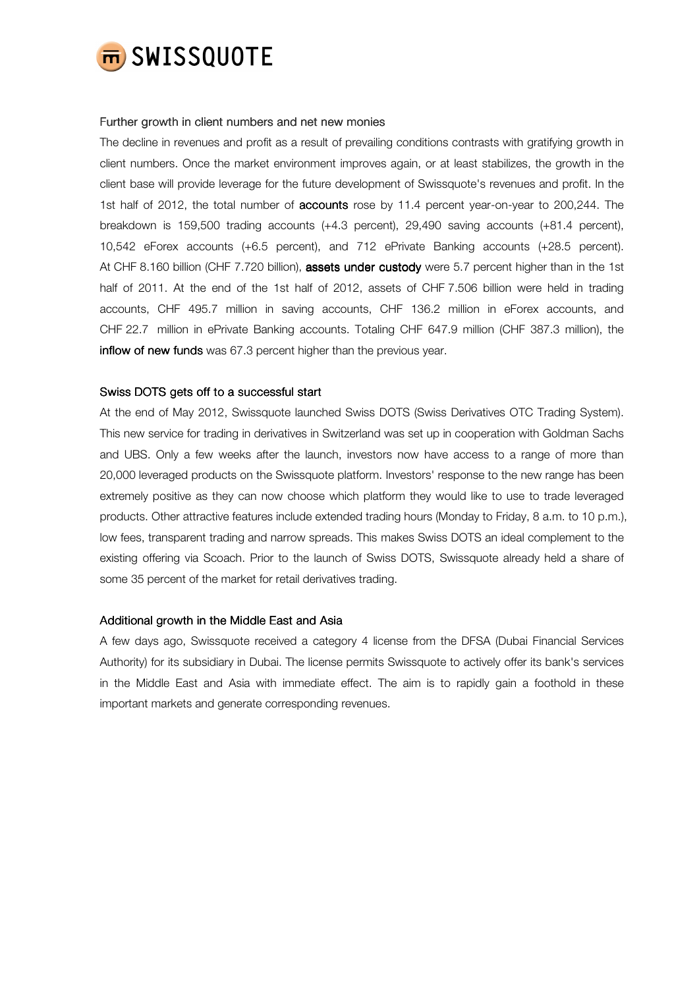

# Further growth in client numbers and net new monies

The decline in revenues and profit as a result of prevailing conditions contrasts with gratifying growth in client numbers. Once the market environment improves again, or at least stabilizes, the growth in the client base will provide leverage for the future development of Swissquote's revenues and profit. In the 1st half of 2012, the total number of **accounts** rose by 11.4 percent year-on-year to 200,244. The breakdown is 159,500 trading accounts (+4.3 percent), 29,490 saving accounts (+81.4 percent), 10,542 eForex accounts (+6.5 percent), and 712 ePrivate Banking accounts (+28.5 percent). At CHF 8.160 billion (CHF 7.720 billion), assets under custody were 5.7 percent higher than in the 1st half of 2011. At the end of the 1st half of 2012, assets of CHF 7.506 billion were held in trading accounts, CHF 495.7 million in saving accounts, CHF 136.2 million in eForex accounts, and CHF 22.7 million in ePrivate Banking accounts. Totaling CHF 647.9 million (CHF 387.3 million), the inflow of new funds was 67.3 percent higher than the previous year.

# Swiss DOTS gets off to a successful start

At the end of May 2012, Swissquote launched Swiss DOTS (Swiss Derivatives OTC Trading System). This new service for trading in derivatives in Switzerland was set up in cooperation with Goldman Sachs and UBS. Only a few weeks after the launch, investors now have access to a range of more than 20,000 leveraged products on the Swissquote platform. Investors' response to the new range has been extremely positive as they can now choose which platform they would like to use to trade leveraged products. Other attractive features include extended trading hours (Monday to Friday, 8 a.m. to 10 p.m.), low fees, transparent trading and narrow spreads. This makes Swiss DOTS an ideal complement to the existing offering via Scoach. Prior to the launch of Swiss DOTS, Swissquote already held a share of some 35 percent of the market for retail derivatives trading.

### Additional growth in the Middle East and Asia

A few days ago, Swissquote received a category 4 license from the DFSA (Dubai Financial Services Authority) for its subsidiary in Dubai. The license permits Swissquote to actively offer its bank's services in the Middle East and Asia with immediate effect. The aim is to rapidly gain a foothold in these important markets and generate corresponding revenues.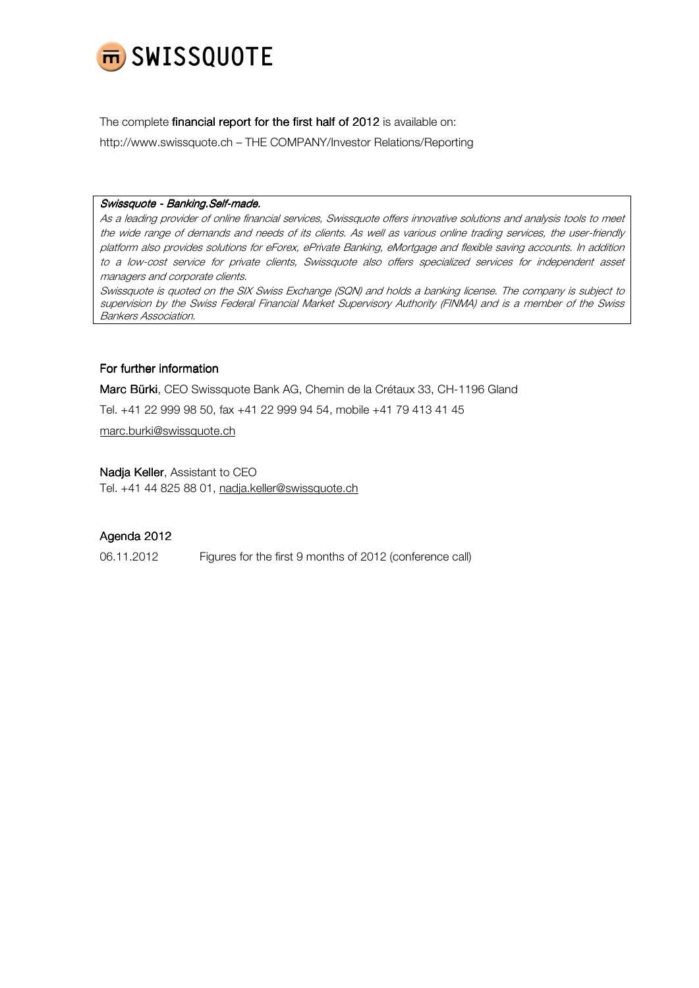

The complete financial report for the first half of 2012 is available on:

http://www.swissquote.ch – THE COMPANY/Investor Relations/Reporting

# Swissquote - Banking.Self-made.

As a leading provider of online financial services, Swissquote offers innovative solutions and analysis tools to meet the wide range of demands and needs of its clients. As well as various online trading services, the user-friendly platform also provides solutions for eForex, ePrivate Banking, eMortgage and flexible saving accounts. In addition to a low-cost service for private clients, Swissquote also offers specialized services for independent asset managers and corporate clients.

Swissquote is quoted on the SIX Swiss Exchange (SQN) and holds a banking license. The company is subject to supervision by the Swiss Federal Financial Market Supervisory Authority (FINMA) and is a member of the Swiss Bankers Association.

# For further information

Marc Bürki, CEO Swissquote Bank AG, Chemin de la Crétaux 33, CH-1196 Gland

Tel. +41 22 999 98 50, fax +41 22 999 94 54, mobile +41 79 413 41 45

marc.burki@swissquote.ch

# Nadja Keller, Assistant to CEO Tel. +41 44 825 88 01, nadja.keller@swissquote.ch

# Agenda 2012

06.11.2012 Figures for the first 9 months of 2012 (conference call)